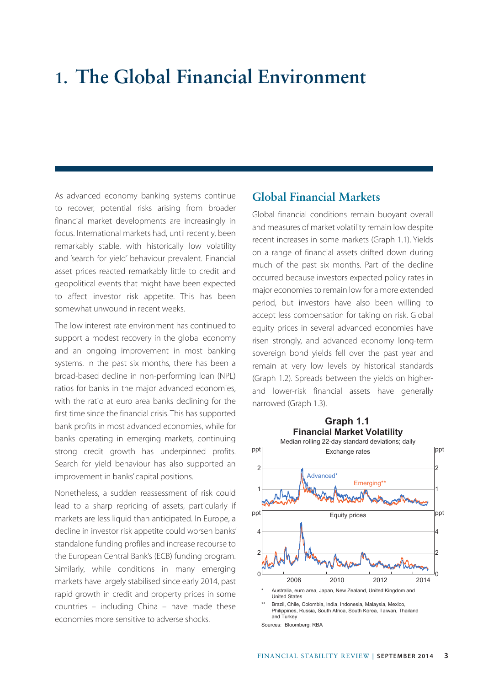# **1. The Global Financial Environment**

As advanced economy banking systems continue to recover, potential risks arising from broader financial market developments are increasingly in focus. International markets had, until recently, been remarkably stable, with historically low volatility and 'search for yield' behaviour prevalent. Financial asset prices reacted remarkably little to credit and geopolitical events that might have been expected to affect investor risk appetite. This has been somewhat unwound in recent weeks.

The low interest rate environment has continued to support a modest recovery in the global economy and an ongoing improvement in most banking systems. In the past six months, there has been a broad-based decline in non-performing loan (NPL) ratios for banks in the major advanced economies, with the ratio at euro area banks declining for the first time since the financial crisis. This has supported bank profits in most advanced economies, while for banks operating in emerging markets, continuing strong credit growth has underpinned profits. Search for yield behaviour has also supported an improvement in banks' capital positions.

Nonetheless, a sudden reassessment of risk could lead to a sharp repricing of assets, particularly if markets are less liquid than anticipated. In Europe, a decline in investor risk appetite could worsen banks' standalone funding profiles and increase recourse to the European Central Bank's (ECB) funding program. Similarly, while conditions in many emerging markets have largely stabilised since early 2014, past rapid growth in credit and property prices in some countries – including China – have made these economies more sensitive to adverse shocks.

## **Global Financial Markets**

Global financial conditions remain buoyant overall and measures of market volatility remain low despite recent increases in some markets (Graph 1.1). Yields on a range of financial assets drifted down during much of the past six months. Part of the decline occurred because investors expected policy rates in major economies to remain low for a more extended period, but investors have also been willing to accept less compensation for taking on risk. Global equity prices in several advanced economies have risen strongly, and advanced economy long-term sovereign bond yields fell over the past year and remain at very low levels by historical standards (Graph 1.2). Spreads between the yields on higherand lower-risk financial assets have generally narrowed (Graph 1.3).



Sources: Bloomberg; RBA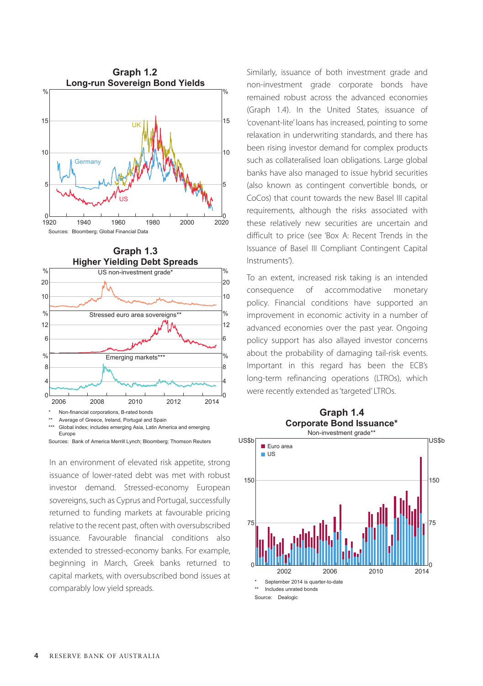



Sources: Bank of America Merrill Lynch; Bloomberg; Thomson Reuters

In an environment of elevated risk appetite, strong issuance of lower-rated debt was met with robust investor demand. Stressed-economy European sovereigns, such as Cyprus and Portugal, successfully returned to funding markets at favourable pricing relative to the recent past, often with oversubscribed issuance. Favourable financial conditions also extended to stressed-economy banks. For example, beginning in March, Greek banks returned to capital markets, with oversubscribed bond issues at comparably low yield spreads.

Similarly, issuance of both investment grade and non-investment grade corporate bonds have remained robust across the advanced economies (Graph 1.4). In the United States, issuance of 'covenant-lite' loans has increased, pointing to some relaxation in underwriting standards, and there has been rising investor demand for complex products such as collateralised loan obligations. Large global banks have also managed to issue hybrid securities (also known as contingent convertible bonds, or CoCos) that count towards the new Basel III capital requirements, although the risks associated with these relatively new securities are uncertain and difficult to price (see 'Box A: Recent Trends in the Issuance of Basel III Compliant Contingent Capital Instruments').

To an extent, increased risk taking is an intended consequence of accommodative monetary policy. Financial conditions have supported an improvement in economic activity in a number of advanced economies over the past year. Ongoing policy support has also allayed investor concerns about the probability of damaging tail-risk events. Important in this regard has been the ECB's long-term refinancing operations (LTROs), which were recently extended as 'targeted' LTROs.



Source: Dealogic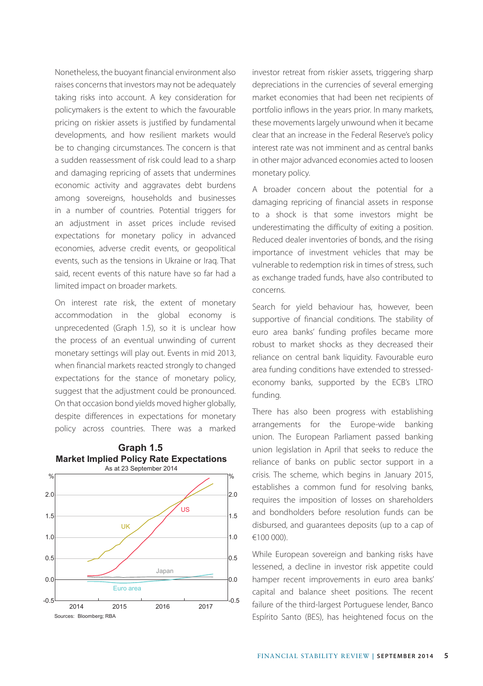Nonetheless, the buoyant financial environment also raises concerns that investors may not be adequately taking risks into account. A key consideration for policymakers is the extent to which the favourable pricing on riskier assets is justified by fundamental developments, and how resilient markets would be to changing circumstances. The concern is that a sudden reassessment of risk could lead to a sharp and damaging repricing of assets that undermines economic activity and aggravates debt burdens among sovereigns, households and businesses in a number of countries. Potential triggers for an adjustment in asset prices include revised expectations for monetary policy in advanced economies, adverse credit events, or geopolitical events, such as the tensions in Ukraine or Iraq. That said, recent events of this nature have so far had a limited impact on broader markets.

On interest rate risk, the extent of monetary accommodation in the global economy is unprecedented (Graph 1.5), so it is unclear how the process of an eventual unwinding of current monetary settings will play out. Events in mid 2013, when financial markets reacted strongly to changed expectations for the stance of monetary policy, suggest that the adjustment could be pronounced. On that occasion bond yields moved higher globally, despite differences in expectations for monetary policy across countries. There was a marked



#### **Graph 1.5 Market Implied Policy Rate Expectations**

investor retreat from riskier assets, triggering sharp depreciations in the currencies of several emerging market economies that had been net recipients of portfolio inflows in the years prior. In many markets, these movements largely unwound when it became clear that an increase in the Federal Reserve's policy interest rate was not imminent and as central banks in other major advanced economies acted to loosen monetary policy.

A broader concern about the potential for a damaging repricing of financial assets in response to a shock is that some investors might be underestimating the difficulty of exiting a position. Reduced dealer inventories of bonds, and the rising importance of investment vehicles that may be vulnerable to redemption risk in times of stress, such as exchange traded funds, have also contributed to concerns.

Search for yield behaviour has, however, been supportive of financial conditions. The stability of euro area banks' funding profiles became more robust to market shocks as they decreased their reliance on central bank liquidity. Favourable euro area funding conditions have extended to stressedeconomy banks, supported by the ECB's LTRO funding.

There has also been progress with establishing arrangements for the Europe-wide banking union. The European Parliament passed banking union legislation in April that seeks to reduce the reliance of banks on public sector support in a crisis. The scheme, which begins in January 2015, establishes a common fund for resolving banks, requires the imposition of losses on shareholders and bondholders before resolution funds can be disbursed, and guarantees deposits (up to a cap of €100 000).

While European sovereign and banking risks have lessened, a decline in investor risk appetite could hamper recent improvements in euro area banks' capital and balance sheet positions. The recent failure of the third-largest Portuguese lender, Banco Espírito Santo (BES), has heightened focus on the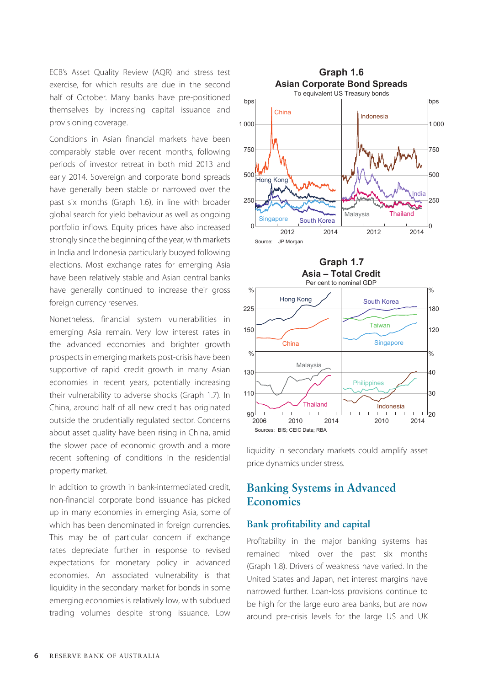ECB's Asset Quality Review (AQR) and stress test exercise, for which results are due in the second half of October. Many banks have pre-positioned themselves by increasing capital issuance and provisioning coverage.

Conditions in Asian financial markets have been comparably stable over recent months, following periods of investor retreat in both mid 2013 and early 2014. Sovereign and corporate bond spreads have generally been stable or narrowed over the past six months (Graph 1.6), in line with broader global search for yield behaviour as well as ongoing portfolio inflows. Equity prices have also increased strongly since the beginning of the year, with markets in India and Indonesia particularly buoyed following elections. Most exchange rates for emerging Asia have been relatively stable and Asian central banks have generally continued to increase their gross foreign currency reserves.

Nonetheless, financial system vulnerabilities in emerging Asia remain. Very low interest rates in the advanced economies and brighter growth prospects in emerging markets post-crisis have been supportive of rapid credit growth in many Asian economies in recent years, potentially increasing their vulnerability to adverse shocks (Graph 1.7). In China, around half of all new credit has originated outside the prudentially regulated sector. Concerns about asset quality have been rising in China, amid the slower pace of economic growth and a more recent softening of conditions in the residential property market.

In addition to growth in bank-intermediated credit, non-financial corporate bond issuance has picked up in many economies in emerging Asia, some of which has been denominated in foreign currencies. This may be of particular concern if exchange rates depreciate further in response to revised expectations for monetary policy in advanced economies. An associated vulnerability is that liquidity in the secondary market for bonds in some emerging economies is relatively low, with subdued trading volumes despite strong issuance. Low





liquidity in secondary markets could amplify asset price dynamics under stress.

## **Banking Systems in Advanced Economies**

### **Bank profitability and capital**

Profitability in the major banking systems has remained mixed over the past six months (Graph 1.8). Drivers of weakness have varied. In the United States and Japan, net interest margins have narrowed further. Loan-loss provisions continue to be high for the large euro area banks, but are now around pre-crisis levels for the large US and UK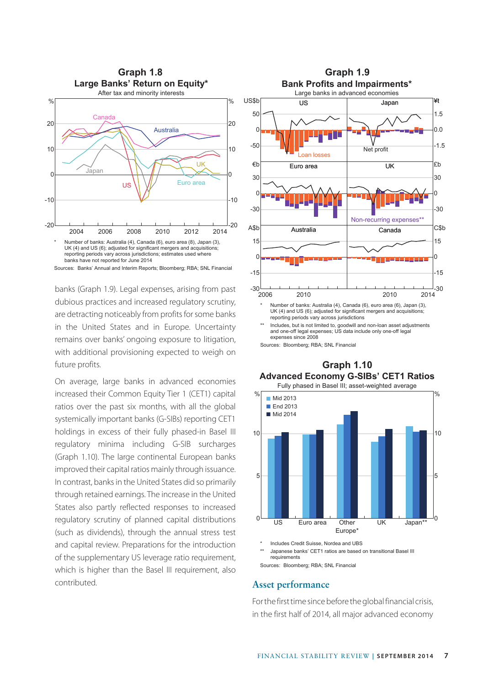

banks (Graph 1.9). Legal expenses, arising from past dubious practices and increased regulatory scrutiny, are detracting noticeably from profits for some banks in the United States and in Europe. Uncertainty remains over banks' ongoing exposure to litigation, with additional provisioning expected to weigh on future profits.

On average, large banks in advanced economies increased their Common Equity Tier 1 (CET1) capital ratios over the past six months, with all the global systemically important banks (G-SIBs) reporting CET1 holdings in excess of their fully phased-in Basel III regulatory minima including G-SIB surcharges (Graph 1.10). The large continental European banks improved their capital ratios mainly through issuance. In contrast, banks in the United States did so primarily through retained earnings. The increase in the United States also partly reflected responses to increased regulatory scrutiny of planned capital distributions (such as dividends), through the annual stress test and capital review. Preparations for the introduction of the supplementary US leverage ratio requirement, which is higher than the Basel III requirement, also contributed.



and one-off legal expenses; US data include only one-off legal expenses since 2008

Sources: Bloomberg; RBA; SNL Financial

## **Graph 1.10 Mid 2013** End 2013 Mid 2014 US Euro area Other Europe\* 0 US Euro area Other UK Japan\*\* 5 10 % 0 5 10 % **Advanced Economy G-SIBs' CET1 Ratios** Fully phased in Basel III; asset-weighted average

Includes Credit Suisse, Nordea and UBS Japanese banks' CET1 ratios are based on transitional Basel III requirements

Sources: Bloomberg; RBA; SNL Financial

#### **Asset performance**

For the first time since before the global financial crisis, in the first half of 2014, all major advanced economy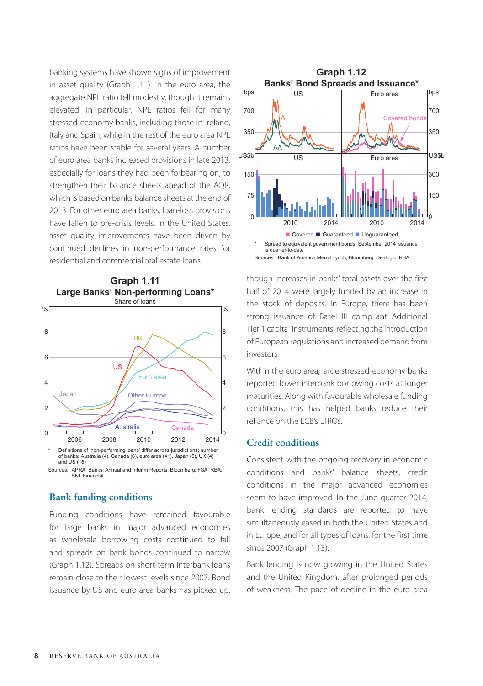banking systems have shown signs of improvement in asset quality (Graph 1.11). In the euro area, the aggregate NPL ratio fell modestly, though it remains elevated. In particular, NPL ratios fell for many stressed-economy banks, including those in Ireland, Italy and Spain, while in the rest of the euro area NPL ratios have been stable for several years. A number of euro area banks increased provisions in late 2013, especially for loans they had been forbearing on, to strengthen their balance sheets ahead of the AQR, which is based on banks' balance sheets at the end of 2013. For other euro area banks, loan-loss provisions have fallen to pre-crisis levels. In the United States, asset quality improvements have been driven by continued declines in non-performance rates for residential and commercial real estate loans.



**Graph 1.11**

of banks: Australia (4), Canada (6), euro area (41), Japan (5), UK (4) and US (18) Sources: APRA; Banks' Annual and Interim Reports; Bloomberg; FSA; RBA;

**SNL Financia** 

## **Bank funding conditions**

Funding conditions have remained favourable for large banks in major advanced economies as wholesale borrowing costs continued to fall and spreads on bank bonds continued to narrow (Graph 1.12). Spreads on short-term interbank loans remain close to their lowest levels since 2007. Bond issuance by US and euro area banks has picked up,



though increases in banks' total assets over the first half of 2014 were largely funded by an increase in the stock of deposits. In Europe, there has been strong issuance of Basel III compliant Additional Tier 1 capital instruments, reflecting the introduction of European regulations and increased demand from investors.

Within the euro area, large stressed-economy banks reported lower interbank borrowing costs at longer maturities. Along with favourable wholesale funding conditions, this has helped banks reduce their reliance on the ECB's LTROs.

#### **Credit conditions**

Consistent with the ongoing recovery in economic conditions and banks' balance sheets, credit conditions in the major advanced economies seem to have improved. In the June quarter 2014, bank lending standards are reported to have simultaneously eased in both the United States and in Europe, and for all types of loans, for the first time since 2007 (Graph 1.13).

Bank lending is now growing in the United States and the United Kingdom, after prolonged periods of weakness. The pace of decline in the euro area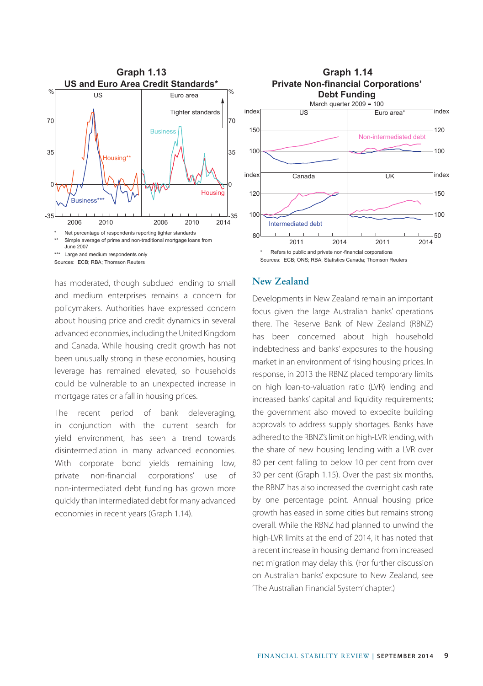

has moderated, though subdued lending to small and medium enterprises remains a concern for policymakers. Authorities have expressed concern about housing price and credit dynamics in several advanced economies, including the United Kingdom and Canada. While housing credit growth has not been unusually strong in these economies, housing leverage has remained elevated, so households could be vulnerable to an unexpected increase in mortgage rates or a fall in housing prices.

The recent period of bank deleveraging, in conjunction with the current search for yield environment, has seen a trend towards disintermediation in many advanced economies. With corporate bond yields remaining low, private non-financial corporations' use of non-intermediated debt funding has grown more quickly than intermediated debt for many advanced economies in recent years (Graph 1.14).



## **New Zealand**

Developments in New Zealand remain an important focus given the large Australian banks' operations there. The Reserve Bank of New Zealand (RBNZ) has been concerned about high household indebtedness and banks' exposures to the housing market in an environment of rising housing prices. In response, in 2013 the RBNZ placed temporary limits on high loan-to-valuation ratio (LVR) lending and increased banks' capital and liquidity requirements; the government also moved to expedite building approvals to address supply shortages. Banks have adhered to the RBNZ's limit on high-LVR lending, with the share of new housing lending with a LVR over 80 per cent falling to below 10 per cent from over 30 per cent (Graph 1.15). Over the past six months, the RBNZ has also increased the overnight cash rate by one percentage point. Annual housing price growth has eased in some cities but remains strong overall. While the RBNZ had planned to unwind the high-LVR limits at the end of 2014, it has noted that a recent increase in housing demand from increased net migration may delay this. (For further discussion on Australian banks' exposure to New Zealand, see 'The Australian Financial System' chapter.)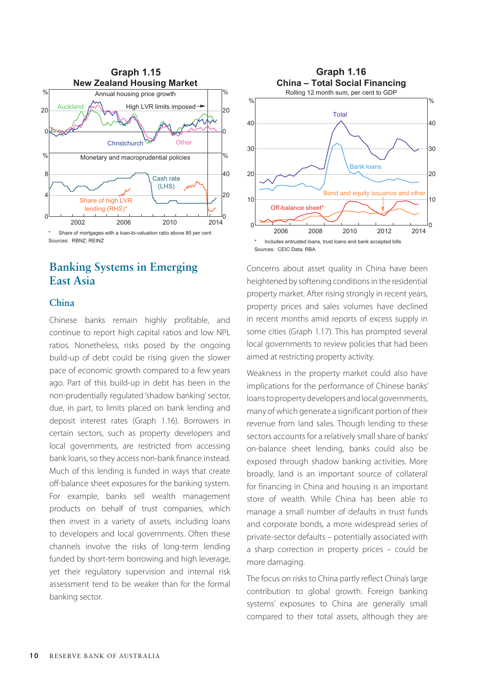

## Sources: RBNZ; REINZ

# **Banking Systems in Emerging East Asia**

## **China**

Chinese banks remain highly profitable, and continue to report high capital ratios and low NPL ratios. Nonetheless, risks posed by the ongoing build-up of debt could be rising given the slower pace of economic growth compared to a few years ago. Part of this build-up in debt has been in the non-prudentially regulated 'shadow banking' sector, due, in part, to limits placed on bank lending and deposit interest rates (Graph 1.16). Borrowers in certain sectors, such as property developers and local governments, are restricted from accessing bank loans, so they access non-bank finance instead. Much of this lending is funded in ways that create off-balance sheet exposures for the banking system. For example, banks sell wealth management products on behalf of trust companies, which then invest in a variety of assets, including loans to developers and local governments. Often these channels involve the risks of long-term lending funded by short-term borrowing and high leverage, yet their regulatory supervision and internal risk assessment tend to be weaker than for the formal banking sector.



Concerns about asset quality in China have been heightened by softening conditions in the residential property market. After rising strongly in recent years, property prices and sales volumes have declined in recent months amid reports of excess supply in some cities (Graph 1.17). This has prompted several local governments to review policies that had been aimed at restricting property activity.

Weakness in the property market could also have implications for the performance of Chinese banks' loans to property developers and local governments, many of which generate a significant portion of their revenue from land sales. Though lending to these sectors accounts for a relatively small share of banks' on-balance sheet lending, banks could also be exposed through shadow banking activities. More broadly, land is an important source of collateral for financing in China and housing is an important store of wealth. While China has been able to manage a small number of defaults in trust funds and corporate bonds, a more widespread series of private-sector defaults – potentially associated with a sharp correction in property prices – could be more damaging.

The focus on risks to China partly reflect China's large contribution to global growth. Foreign banking systems' exposures to China are generally small compared to their total assets, although they are